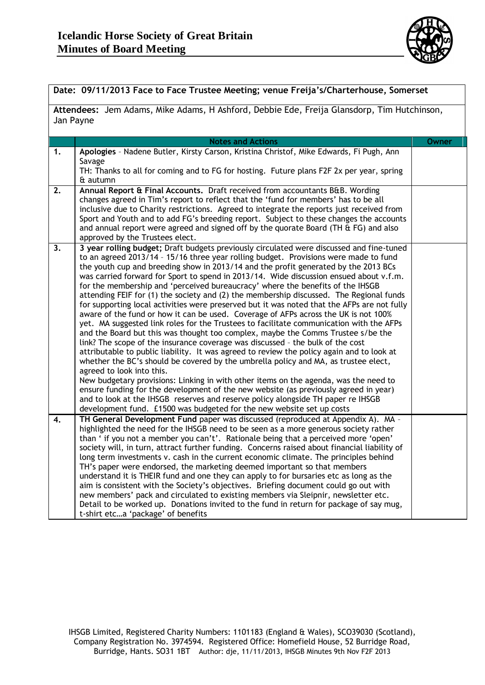

| Date: 09/11/2013 Face to Face Trustee Meeting; venue Freija's/Charterhouse, Somerset                    |                                                                                                                                                                                                                                                                                                                                                                                                                                                                                                                                                                                                                                                                                                                                                                                                                                                                                                                                                                                                                                                                                                                                                                                                                                                                                                                                                                                                                                                                                                                                                                     |              |  |  |
|---------------------------------------------------------------------------------------------------------|---------------------------------------------------------------------------------------------------------------------------------------------------------------------------------------------------------------------------------------------------------------------------------------------------------------------------------------------------------------------------------------------------------------------------------------------------------------------------------------------------------------------------------------------------------------------------------------------------------------------------------------------------------------------------------------------------------------------------------------------------------------------------------------------------------------------------------------------------------------------------------------------------------------------------------------------------------------------------------------------------------------------------------------------------------------------------------------------------------------------------------------------------------------------------------------------------------------------------------------------------------------------------------------------------------------------------------------------------------------------------------------------------------------------------------------------------------------------------------------------------------------------------------------------------------------------|--------------|--|--|
| Attendees: Jem Adams, Mike Adams, H Ashford, Debbie Ede, Freija Glansdorp, Tim Hutchinson,<br>Jan Payne |                                                                                                                                                                                                                                                                                                                                                                                                                                                                                                                                                                                                                                                                                                                                                                                                                                                                                                                                                                                                                                                                                                                                                                                                                                                                                                                                                                                                                                                                                                                                                                     |              |  |  |
|                                                                                                         | <b>Notes and Actions</b>                                                                                                                                                                                                                                                                                                                                                                                                                                                                                                                                                                                                                                                                                                                                                                                                                                                                                                                                                                                                                                                                                                                                                                                                                                                                                                                                                                                                                                                                                                                                            | <b>Owner</b> |  |  |
| 1.                                                                                                      | Apologies - Nadene Butler, Kirsty Carson, Kristina Christof, Mike Edwards, Fi Pugh, Ann<br>Savage<br>TH: Thanks to all for coming and to FG for hosting. Future plans F2F 2x per year, spring<br>& autumn                                                                                                                                                                                                                                                                                                                                                                                                                                                                                                                                                                                                                                                                                                                                                                                                                                                                                                                                                                                                                                                                                                                                                                                                                                                                                                                                                           |              |  |  |
| 2.                                                                                                      | Annual Report & Final Accounts. Draft received from accountants B&B. Wording<br>changes agreed in Tim's report to reflect that the 'fund for members' has to be all<br>inclusive due to Charity restrictions. Agreed to integrate the reports just received from<br>Sport and Youth and to add FG's breeding report. Subject to these changes the accounts<br>and annual report were agreed and signed off by the quorate Board (TH & FG) and also<br>approved by the Trustees elect.                                                                                                                                                                                                                                                                                                                                                                                                                                                                                                                                                                                                                                                                                                                                                                                                                                                                                                                                                                                                                                                                               |              |  |  |
| 3.                                                                                                      | 3 year rolling budget; Draft budgets previously circulated were discussed and fine-tuned<br>to an agreed 2013/14 - 15/16 three year rolling budget. Provisions were made to fund<br>the youth cup and breeding show in 2013/14 and the profit generated by the 2013 BCs<br>was carried forward for Sport to spend in 2013/14. Wide discussion ensued about v.f.m.<br>for the membership and 'perceived bureaucracy' where the benefits of the IHSGB<br>attending FEIF for (1) the society and (2) the membership discussed. The Regional funds<br>for supporting local activities were preserved but it was noted that the AFPs are not fully<br>aware of the fund or how it can be used. Coverage of AFPs across the UK is not 100%<br>yet. MA suggested link roles for the Trustees to facilitate communication with the AFPs<br>and the Board but this was thought too complex, maybe the Comms Trustee s/be the<br>link? The scope of the insurance coverage was discussed - the bulk of the cost<br>attributable to public liability. It was agreed to review the policy again and to look at<br>whether the BC's should be covered by the umbrella policy and MA, as trustee elect,<br>agreed to look into this.<br>New budgetary provisions: Linking in with other items on the agenda, was the need to<br>ensure funding for the development of the new website (as previously agreed in year)<br>and to look at the IHSGB reserves and reserve policy alongside TH paper re IHSGB<br>development fund. £1500 was budgeted for the new website set up costs |              |  |  |
| 4.                                                                                                      | TH General Development Fund paper was discussed (reproduced at Appendix A). MA -<br>highlighted the need for the IHSGB need to be seen as a more generous society rather<br>than ' if you not a member you can't'. Rationale being that a perceived more 'open'<br>society will, in turn, attract further funding. Concerns raised about financial liability of<br>long term investments v. cash in the current economic climate. The principles behind<br>TH's paper were endorsed, the marketing deemed important so that members<br>understand it is THEIR fund and one they can apply to for bursaries etc as long as the<br>aim is consistent with the Society's objectives. Briefing document could go out with<br>new members' pack and circulated to existing members via Sleipnir, newsletter etc.<br>Detail to be worked up. Donations invited to the fund in return for package of say mug,<br>t-shirt etca 'package' of benefits                                                                                                                                                                                                                                                                                                                                                                                                                                                                                                                                                                                                                        |              |  |  |

IHSGB Limited, Registered Charity Numbers: 1101183 (England & Wales), SCO39030 (Scotland), Company Registration No. 3974594. Registered Office: Homefield House, 52 Burridge Road, Burridge, Hants. SO31 1BT Author: dje, 11/11/2013, IHSGB Minutes 9th Nov F2F 2013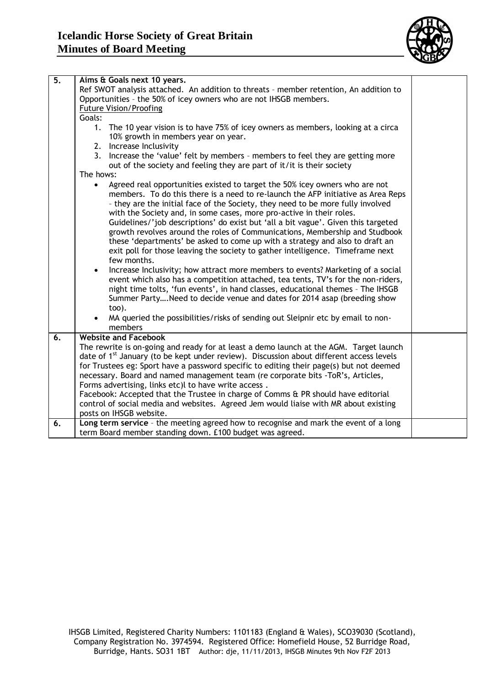

| $\overline{5}$ . | Aims & Goals next 10 years.                                                                                                                               |  |  |  |  |
|------------------|-----------------------------------------------------------------------------------------------------------------------------------------------------------|--|--|--|--|
|                  | Ref SWOT analysis attached. An addition to threats - member retention, An addition to                                                                     |  |  |  |  |
|                  | Opportunities - the 50% of icey owners who are not IHSGB members.                                                                                         |  |  |  |  |
|                  | <b>Future Vision/Proofing</b>                                                                                                                             |  |  |  |  |
|                  | Goals:                                                                                                                                                    |  |  |  |  |
|                  | 1. The 10 year vision is to have 75% of icey owners as members, looking at a circa                                                                        |  |  |  |  |
|                  | 10% growth in members year on year.                                                                                                                       |  |  |  |  |
|                  | 2. Increase Inclusivity                                                                                                                                   |  |  |  |  |
|                  | 3. Increase the 'value' felt by members - members to feel they are getting more                                                                           |  |  |  |  |
|                  | out of the society and feeling they are part of it/it is their society                                                                                    |  |  |  |  |
|                  | The hows:                                                                                                                                                 |  |  |  |  |
|                  | Agreed real opportunities existed to target the 50% icey owners who are not<br>$\bullet$                                                                  |  |  |  |  |
|                  | members. To do this there is a need to re-launch the AFP initiative as Area Reps                                                                          |  |  |  |  |
|                  | - they are the initial face of the Society, they need to be more fully involved                                                                           |  |  |  |  |
|                  | with the Society and, in some cases, more pro-active in their roles.<br>Guidelines/'job descriptions' do exist but 'all a bit vague'. Given this targeted |  |  |  |  |
|                  | growth revolves around the roles of Communications, Membership and Studbook                                                                               |  |  |  |  |
|                  | these 'departments' be asked to come up with a strategy and also to draft an                                                                              |  |  |  |  |
|                  | exit poll for those leaving the society to gather intelligence. Timeframe next                                                                            |  |  |  |  |
|                  | few months.                                                                                                                                               |  |  |  |  |
|                  | Increase Inclusivity; how attract more members to events? Marketing of a social<br>$\bullet$                                                              |  |  |  |  |
|                  | event which also has a competition attached, tea tents, TV's for the non-riders,                                                                          |  |  |  |  |
|                  | night time tolts, 'fun events', in hand classes, educational themes - The IHSGB                                                                           |  |  |  |  |
|                  | Summer PartyNeed to decide venue and dates for 2014 asap (breeding show                                                                                   |  |  |  |  |
|                  | too).                                                                                                                                                     |  |  |  |  |
|                  | MA queried the possibilities/risks of sending out Sleipnir etc by email to non-                                                                           |  |  |  |  |
|                  | members                                                                                                                                                   |  |  |  |  |
| 6.               | <b>Website and Facebook</b>                                                                                                                               |  |  |  |  |
|                  | The rewrite is on-going and ready for at least a demo launch at the AGM. Target launch                                                                    |  |  |  |  |
|                  | date of 1 <sup>st</sup> January (to be kept under review). Discussion about different access levels                                                       |  |  |  |  |
|                  | for Trustees eg: Sport have a password specific to editing their page(s) but not deemed                                                                   |  |  |  |  |
|                  | necessary. Board and named management team (re corporate bits -ToR's, Articles,                                                                           |  |  |  |  |
|                  | Forms advertising, links etc)l to have write access.                                                                                                      |  |  |  |  |
|                  | Facebook: Accepted that the Trustee in charge of Comms & PR should have editorial                                                                         |  |  |  |  |
|                  | control of social media and websites. Agreed Jem would liaise with MR about existing                                                                      |  |  |  |  |
|                  | posts on IHSGB website.                                                                                                                                   |  |  |  |  |
| 6.               | Long term service - the meeting agreed how to recognise and mark the event of a long                                                                      |  |  |  |  |
|                  | term Board member standing down. £100 budget was agreed.                                                                                                  |  |  |  |  |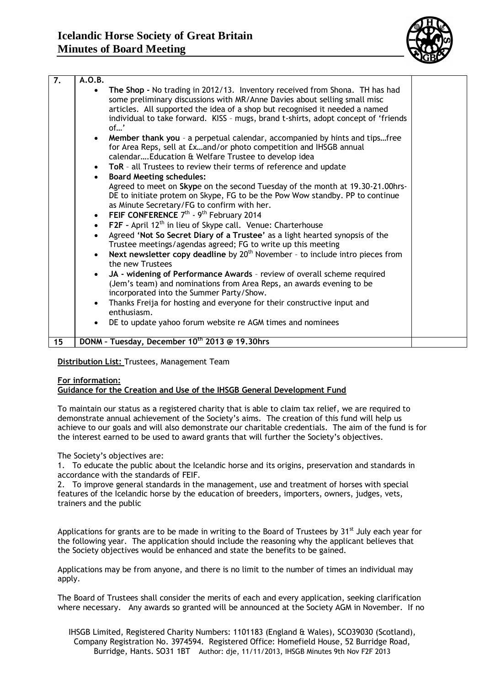

| $\overline{7}$ . | A.O.B.    |                                                                                                               |  |
|------------------|-----------|---------------------------------------------------------------------------------------------------------------|--|
|                  |           | The Shop - No trading in 2012/13. Inventory received from Shona. TH has had                                   |  |
|                  |           | some preliminary discussions with MR/Anne Davies about selling small misc                                     |  |
|                  |           | articles. All supported the idea of a shop but recognised it needed a named                                   |  |
|                  |           | individual to take forward. KISS - mugs, brand t-shirts, adopt concept of 'friends<br>of'                     |  |
|                  |           | Member thank you - a perpetual calendar, accompanied by hints and tipsfree                                    |  |
|                  |           | for Area Reps, sell at £xand/or photo competition and IHSGB annual                                            |  |
|                  |           | calendar Education & Welfare Trustee to develop idea                                                          |  |
|                  | $\bullet$ | ToR - all Trustees to review their terms of reference and update                                              |  |
|                  | $\bullet$ | <b>Board Meeting schedules:</b>                                                                               |  |
|                  |           | Agreed to meet on Skype on the second Tuesday of the month at 19.30-21.00hrs-                                 |  |
|                  |           | DE to initiate protem on Skype, FG to be the Pow Wow standby. PP to continue                                  |  |
|                  |           | as Minute Secretary/FG to confirm with her.                                                                   |  |
|                  | $\bullet$ | FEIF CONFERENCE 7 <sup>th</sup> - 9 <sup>th</sup> February 2014                                               |  |
|                  | $\bullet$ | F2F - April 12 <sup>th</sup> in lieu of Skype call. Venue: Charterhouse                                       |  |
|                  |           | Agreed 'Not So Secret Diary of a Trustee' as a light hearted synopsis of the                                  |  |
|                  |           | Trustee meetings/agendas agreed; FG to write up this meeting                                                  |  |
|                  |           | Next newsletter copy deadline by 20 <sup>th</sup> November - to include intro pieces from<br>the new Trustees |  |
|                  | $\bullet$ | JA - widening of Performance Awards - review of overall scheme required                                       |  |
|                  |           | (Jem's team) and nominations from Area Reps, an awards evening to be                                          |  |
|                  |           | incorporated into the Summer Party/Show.                                                                      |  |
|                  | $\bullet$ | Thanks Freija for hosting and everyone for their constructive input and                                       |  |
|                  |           | enthusiasm.                                                                                                   |  |
|                  |           | DE to update yahoo forum website re AGM times and nominees                                                    |  |
| 15               |           | DONM - Tuesday, December 10th 2013 @ 19.30hrs                                                                 |  |
|                  |           |                                                                                                               |  |

### **Distribution List:** Trustees, Management Team

### **For information:**

### **Guidance for the Creation and Use of the IHSGB General Development Fund**

To maintain our status as a registered charity that is able to claim tax relief, we are required to demonstrate annual achievement of the Society's aims. The creation of this fund will help us achieve to our goals and will also demonstrate our charitable credentials. The aim of the fund is for the interest earned to be used to award grants that will further the Society's objectives.

The Society's objectives are:

1. To educate the public about the Icelandic horse and its origins, preservation and standards in accordance with the standards of FEIF.

2. To improve general standards in the management, use and treatment of horses with special features of the Icelandic horse by the education of breeders, importers, owners, judges, vets, trainers and the public

Applications for grants are to be made in writing to the Board of Trustees by  $31<sup>st</sup>$  July each year for the following year. The application should include the reasoning why the applicant believes that the Society objectives would be enhanced and state the benefits to be gained.

Applications may be from anyone, and there is no limit to the number of times an individual may apply.

The Board of Trustees shall consider the merits of each and every application, seeking clarification where necessary. Any awards so granted will be announced at the Society AGM in November. If no

IHSGB Limited, Registered Charity Numbers: 1101183 (England & Wales), SCO39030 (Scotland), Company Registration No. 3974594. Registered Office: Homefield House, 52 Burridge Road, Burridge, Hants. SO31 1BT Author: dje, 11/11/2013, IHSGB Minutes 9th Nov F2F 2013